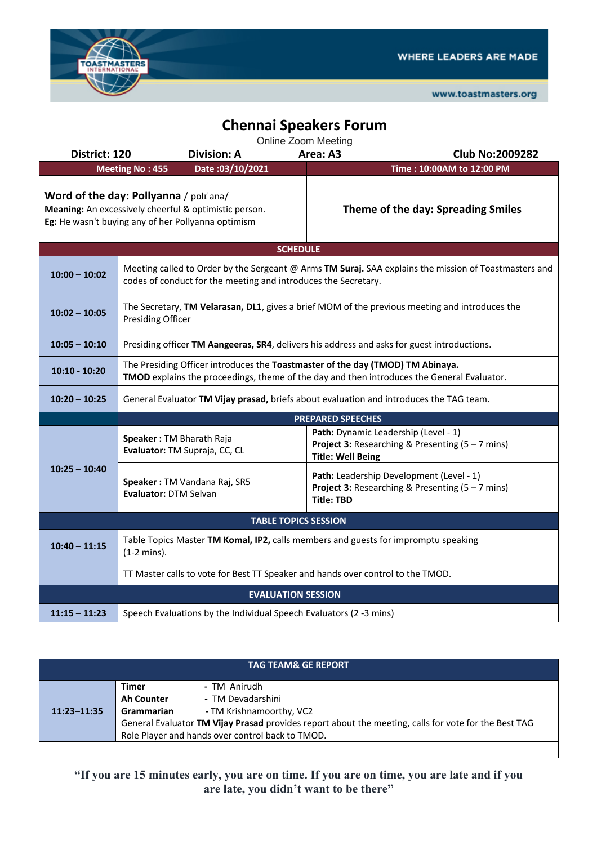

www.toastmasters.org

## **Chennai Speakers Forum**

Online Zoom Meeting

| District: 120                                                                                                                                         |                                                                                                                                                                              | <b>Division: A</b>                                                 | Area: A3          | <b>Club No:2009282</b>                                                                                                                |  |  |
|-------------------------------------------------------------------------------------------------------------------------------------------------------|------------------------------------------------------------------------------------------------------------------------------------------------------------------------------|--------------------------------------------------------------------|-------------------|---------------------------------------------------------------------------------------------------------------------------------------|--|--|
|                                                                                                                                                       | <b>Meeting No: 455</b>                                                                                                                                                       | Date: 03/10/2021                                                   |                   | Time: 10:00AM to 12:00 PM                                                                                                             |  |  |
| Word of the day: Pollyanna / polr'ana/<br>Meaning: An excessively cheerful & optimistic person.<br>Eg: He wasn't buying any of her Pollyanna optimism |                                                                                                                                                                              |                                                                    |                   | Theme of the day: Spreading Smiles                                                                                                    |  |  |
| <b>SCHEDULE</b>                                                                                                                                       |                                                                                                                                                                              |                                                                    |                   |                                                                                                                                       |  |  |
| $10:00 - 10:02$                                                                                                                                       | Meeting called to Order by the Sergeant @ Arms TM Suraj. SAA explains the mission of Toastmasters and<br>codes of conduct for the meeting and introduces the Secretary.      |                                                                    |                   |                                                                                                                                       |  |  |
| $10:02 - 10:05$                                                                                                                                       | The Secretary, TM Velarasan, DL1, gives a brief MOM of the previous meeting and introduces the<br><b>Presiding Officer</b>                                                   |                                                                    |                   |                                                                                                                                       |  |  |
| $10:05 - 10:10$                                                                                                                                       | Presiding officer TM Aangeeras, SR4, delivers his address and asks for guest introductions.                                                                                  |                                                                    |                   |                                                                                                                                       |  |  |
| $10:10 - 10:20$                                                                                                                                       | The Presiding Officer introduces the Toastmaster of the day (TMOD) TM Abinaya.<br>TMOD explains the proceedings, theme of the day and then introduces the General Evaluator. |                                                                    |                   |                                                                                                                                       |  |  |
| $10:20 - 10:25$                                                                                                                                       | General Evaluator TM Vijay prasad, briefs about evaluation and introduces the TAG team.                                                                                      |                                                                    |                   |                                                                                                                                       |  |  |
|                                                                                                                                                       | <b>PREPARED SPEECHES</b>                                                                                                                                                     |                                                                    |                   |                                                                                                                                       |  |  |
| $10:25 - 10:40$                                                                                                                                       | Speaker: TM Bharath Raja                                                                                                                                                     | Evaluator: TM Supraja, CC, CL                                      |                   | Path: Dynamic Leadership (Level - 1)<br><b>Project 3:</b> Researching & Presenting $(5 - 7 \text{ mins})$<br><b>Title: Well Being</b> |  |  |
|                                                                                                                                                       | Evaluator: DTM Selvan                                                                                                                                                        | Speaker: TM Vandana Raj, SR5                                       | <b>Title: TBD</b> | Path: Leadership Development (Level - 1)<br><b>Project 3:</b> Researching & Presenting $(5 - 7 \text{ mins})$                         |  |  |
| <b>TABLE TOPICS SESSION</b>                                                                                                                           |                                                                                                                                                                              |                                                                    |                   |                                                                                                                                       |  |  |
| $10:40 - 11:15$                                                                                                                                       | Table Topics Master TM Komal, IP2, calls members and guests for impromptu speaking<br>$(1-2 \text{ mins})$ .                                                                 |                                                                    |                   |                                                                                                                                       |  |  |
|                                                                                                                                                       | TT Master calls to vote for Best TT Speaker and hands over control to the TMOD.                                                                                              |                                                                    |                   |                                                                                                                                       |  |  |
| <b>EVALUATION SESSION</b>                                                                                                                             |                                                                                                                                                                              |                                                                    |                   |                                                                                                                                       |  |  |
| $11:15 - 11:23$                                                                                                                                       |                                                                                                                                                                              | Speech Evaluations by the Individual Speech Evaluators (2 -3 mins) |                   |                                                                                                                                       |  |  |

| <b>TAG TEAM&amp; GE REPORT.</b> |                                                                                                      |                                                  |  |  |  |
|---------------------------------|------------------------------------------------------------------------------------------------------|--------------------------------------------------|--|--|--|
|                                 | Timer                                                                                                | - TM Anirudh                                     |  |  |  |
|                                 | <b>Ah Counter</b>                                                                                    | - TM Devadarshini                                |  |  |  |
| $11:23 - 11:35$                 | Grammarian                                                                                           | - TM Krishnamoorthy, VC2                         |  |  |  |
|                                 | General Evaluator TM Vijay Prasad provides report about the meeting, calls for vote for the Best TAG |                                                  |  |  |  |
|                                 |                                                                                                      | Role Player and hands over control back to TMOD. |  |  |  |
|                                 |                                                                                                      |                                                  |  |  |  |

**"If you are 15 minutes early, you are on time. If you are on time, you are late and if you are late, you didn't want to be there"**